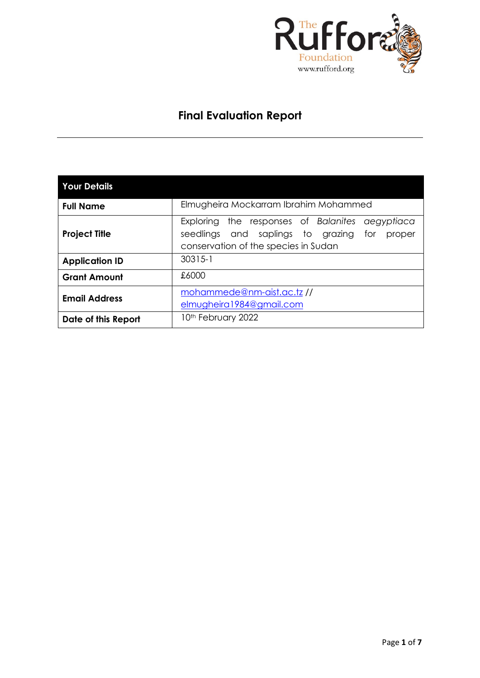

# **Final Evaluation Report**

| <b>Your Details</b>   |                                                                                                                                               |  |  |  |  |  |  |  |
|-----------------------|-----------------------------------------------------------------------------------------------------------------------------------------------|--|--|--|--|--|--|--|
| <b>Full Name</b>      | Elmugheira Mockarram Ibrahim Mohammed                                                                                                         |  |  |  |  |  |  |  |
| <b>Project Title</b>  | Exploring the responses of Balanites<br>aegyptiaca<br>seedlings and saplings to grazing for<br>proper<br>conservation of the species in Sudan |  |  |  |  |  |  |  |
| <b>Application ID</b> | $30315 - 1$                                                                                                                                   |  |  |  |  |  |  |  |
| <b>Grant Amount</b>   | £6000                                                                                                                                         |  |  |  |  |  |  |  |
| <b>Email Address</b>  | mohammede@nm-aist.ac.tz//<br>elmugheira1984@gmail.com                                                                                         |  |  |  |  |  |  |  |
| Date of this Report   | 10th February 2022                                                                                                                            |  |  |  |  |  |  |  |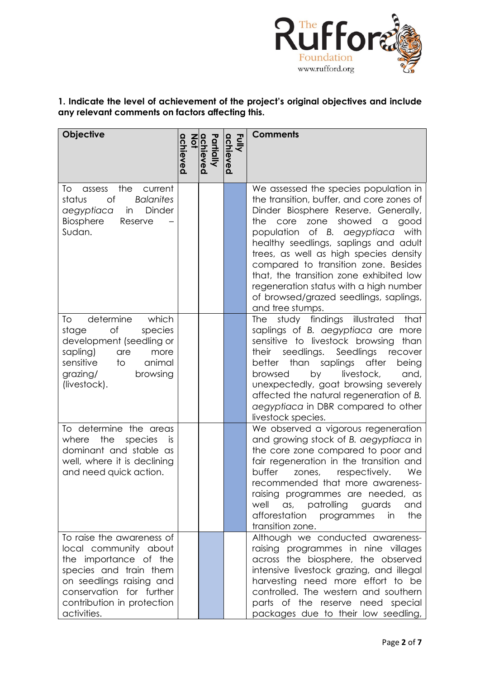

# **1. Indicate the level of achievement of the project's original objectives and include any relevant comments on factors affecting this.**

| <b>Objective</b>                                                                                                                                                                                           | achieved | Partially<br>chieved | Fully<br>achieved | <b>Comments</b>                                                                                                                                                                                                                                                                                                                                                                                                                                                                                            |
|------------------------------------------------------------------------------------------------------------------------------------------------------------------------------------------------------------|----------|----------------------|-------------------|------------------------------------------------------------------------------------------------------------------------------------------------------------------------------------------------------------------------------------------------------------------------------------------------------------------------------------------------------------------------------------------------------------------------------------------------------------------------------------------------------------|
| the<br>To<br>current<br>assess<br>of<br><b>Balanites</b><br>status<br>Dinder<br>aegyptiaca<br>in<br>Biosphere<br>Reserve<br>Sudan.                                                                         |          |                      |                   | We assessed the species population in<br>the transition, buffer, and core zones of<br>Dinder Biosphere Reserve. Generally,<br>showed<br>the<br>core<br>zone<br>$\hbox{\tt C}$<br>good<br>population of B. aegyptiaca<br>with<br>healthy seedlings, saplings and adult<br>trees, as well as high species density<br>compared to transition zone. Besides<br>that, the transition zone exhibited low<br>regeneration status with a high number<br>of browsed/grazed seedlings, saplings,<br>and tree stumps. |
| determine<br>which<br>To<br>of<br>species<br>stage<br>development (seedling or<br>sapling)<br>more<br>are<br>sensitive<br>animal<br>to<br>grazing/<br>browsing<br>(livestock).                             |          |                      |                   | study findings<br>illustrated<br><b>The</b><br>that<br>saplings of B. aegyptiaca are more<br>sensitive to livestock browsing<br>than<br>seedlings.<br>Seedlings<br>their<br>recover<br>better<br>than saplings after<br>being<br>livestock,<br>by<br>browsed<br>and,<br>unexpectedly, goat browsing severely<br>affected the natural regeneration of B.<br>aegyptiaca in DBR compared to other<br>livestock species.                                                                                       |
| To determine the areas<br>the<br>where<br>species<br>İS<br>dominant and stable as<br>well, where it is declining<br>and need quick action.                                                                 |          |                      |                   | We observed a vigorous regeneration<br>and growing stock of B. aegyptiaca in<br>the core zone compared to poor and<br>fair regeneration in the transition and<br>buffer<br>respectively.<br>We<br>zones,<br>recommended that more awareness-<br>raising programmes are needed, as<br>well<br>as, patrolling<br>guards<br>and<br>the<br>afforestation<br>programmes<br>in<br>transition zone.                                                                                                               |
| To raise the awareness of<br>local community about<br>the importance of the<br>species and train them<br>on seedlings raising and<br>conservation for further<br>contribution in protection<br>activities. |          |                      |                   | Although we conducted awareness-<br>raising programmes in nine villages<br>across the biosphere, the observed<br>intensive livestock grazing, and illegal<br>harvesting need more effort to be<br>controlled. The western and southern<br>parts of the reserve need special<br>packages due to their low seedling,                                                                                                                                                                                         |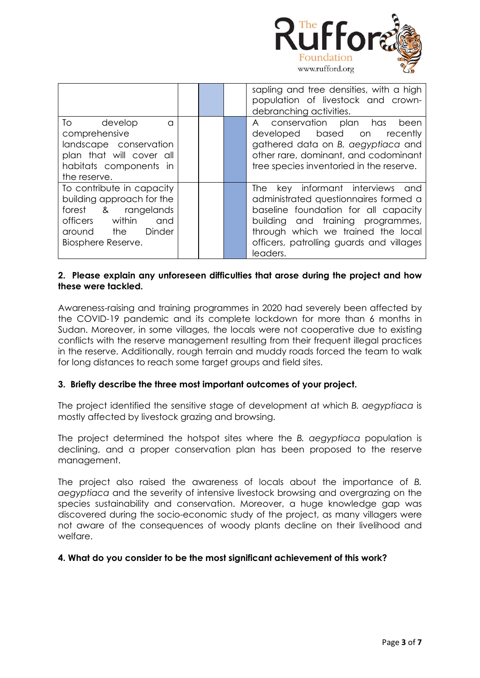

|                           |  | sapling and tree densities, with a high<br>population of livestock and crown-<br>debranching activities. |
|---------------------------|--|----------------------------------------------------------------------------------------------------------|
| To develop<br>$\Omega$    |  | A conservation plan has<br>been                                                                          |
| comprehensive             |  | developed based on recently                                                                              |
| landscape conservation    |  | gathered data on B. aegyptiaca and                                                                       |
| plan that will cover all  |  | other rare, dominant, and codominant                                                                     |
| habitats components in    |  | tree species inventoried in the reserve.                                                                 |
| the reserve.              |  |                                                                                                          |
| To contribute in capacity |  | The key informant interviews and                                                                         |
| building approach for the |  | administrated questionnaires formed a                                                                    |
| forest & rangelands       |  | baseline foundation for all capacity                                                                     |
| officers within<br>and    |  | building and training programmes,                                                                        |
| around the Dinder         |  | through which we trained the local                                                                       |
| Biosphere Reserve.        |  | officers, patrolling guards and villages                                                                 |
|                           |  | leaders.                                                                                                 |

# **2. Please explain any unforeseen difficulties that arose during the project and how these were tackled.**

Awareness-raising and training programmes in 2020 had severely been affected by the COVID-19 pandemic and its complete lockdown for more than 6 months in Sudan. Moreover, in some villages, the locals were not cooperative due to existing conflicts with the reserve management resulting from their frequent illegal practices in the reserve. Additionally, rough terrain and muddy roads forced the team to walk for long distances to reach some target groups and field sites.

# **3. Briefly describe the three most important outcomes of your project.**

The project identified the sensitive stage of development at which *B. aegyptiaca* is mostly affected by livestock grazing and browsing.

The project determined the hotspot sites where the *B. aegyptiaca* population is declining, and a proper conservation plan has been proposed to the reserve management.

The project also raised the awareness of locals about the importance of *B. aegyptiaca* and the severity of intensive livestock browsing and overgrazing on the species sustainability and conservation. Moreover, a huge knowledge gap was discovered during the socio-economic study of the project, as many villagers were not aware of the consequences of woody plants decline on their livelihood and welfare.

## **4. What do you consider to be the most significant achievement of this work?**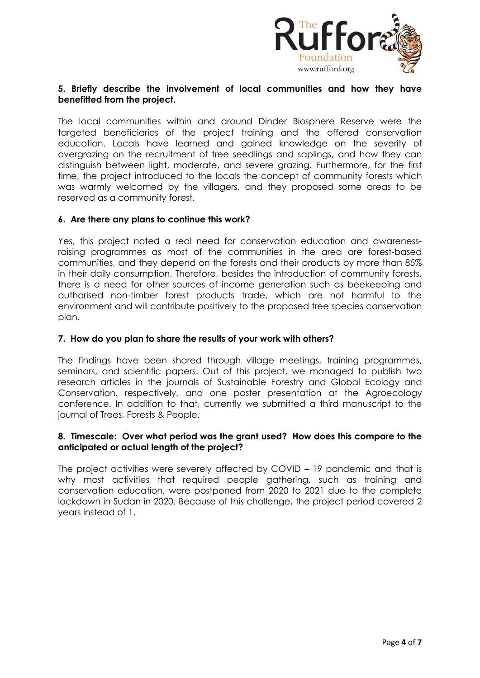

# **5. Briefly describe the involvement of local communities and how they have benefitted from the project.**

The local communities within and around Dinder Biosphere Reserve were the targeted beneficiaries of the project training and the offered conservation education. Locals have learned and gained knowledge on the severity of overgrazing on the recruitment of tree seedlings and saplings, and how they can distinguish between light, moderate, and severe grazing. Furthermore, for the first time, the project introduced to the locals the concept of community forests which was warmly welcomed by the villagers, and they proposed some areas to be reserved as a community forest.

## **6. Are there any plans to continue this work?**

Yes, this project noted a real need for conservation education and awarenessraising programmes as most of the communities in the area are forest-based communities, and they depend on the forests and their products by more than 85% in their daily consumption. Therefore, besides the introduction of community forests, there is a need for other sources of income generation such as beekeeping and authorised non-timber forest products trade, which are not harmful to the environment and will contribute positively to the proposed tree species conservation plan.

#### **7. How do you plan to share the results of your work with others?**

The findings have been shared through village meetings, training programmes, seminars, and scientific papers. Out of this project, we managed to publish two research articles in the journals of Sustainable Forestry and Global Ecology and Conservation, respectively, and one poster presentation at the Agroecology conference. In addition to that, currently we submitted a third manuscript to the journal of Trees, Forests & People.

#### **8. Timescale: Over what period was the grant used? How does this compare to the anticipated or actual length of the project?**

The project activities were severely affected by COVID – 19 pandemic and that is why most activities that required people gathering, such as training and conservation education, were postponed from 2020 to 2021 due to the complete lockdown in Sudan in 2020. Because of this challenge, the project period covered 2 years instead of 1.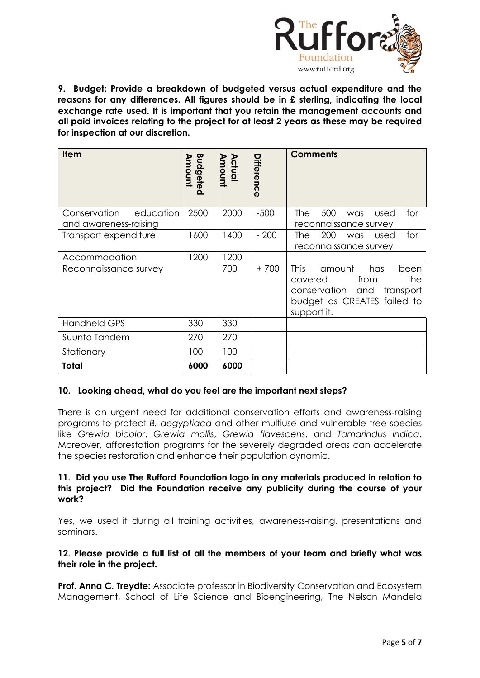

**9. Budget: Provide a breakdown of budgeted versus actual expenditure and the reasons for any differences. All figures should be in £ sterling, indicating the local exchange rate used. It is important that you retain the management accounts and all paid invoices relating to the project for at least 2 years as these may be required for inspection at our discretion.**

| <b>Item</b>                                        | Budgeted<br>moun | <b>Amount</b><br>Actual | <b>Differenc</b><br>$\boldsymbol{\sigma}$ | <b>Comments</b>                                                                                                                               |
|----------------------------------------------------|------------------|-------------------------|-------------------------------------------|-----------------------------------------------------------------------------------------------------------------------------------------------|
| Conservation<br>education<br>and awareness-raising | 2500             | 2000                    | $-500$                                    | 500<br>for<br>The<br>used<br>was<br>reconnaissance survey                                                                                     |
| Transport expenditure                              | 1600             | 1400                    | $-200$                                    | 200<br>for<br>The<br>used<br>was<br>reconnaissance survey                                                                                     |
| Accommodation                                      | 1200             | 1200                    |                                           |                                                                                                                                               |
| Reconnaissance survey                              |                  | 700                     | $+700$                                    | <b>This</b><br>amount<br>has<br>been<br>the<br>from<br>covered<br>conservation and<br>transport<br>budget as CREATES failed to<br>support it. |
| <b>Handheld GPS</b>                                | 330              | 330                     |                                           |                                                                                                                                               |
| Suunto Tandem                                      | 270              | 270                     |                                           |                                                                                                                                               |
| Stationary                                         | 100              | 100                     |                                           |                                                                                                                                               |
| Total                                              | 6000             | 6000                    |                                           |                                                                                                                                               |

# **10. Looking ahead, what do you feel are the important next steps?**

There is an urgent need for additional conservation efforts and awareness-raising programs to protect *B. aegyptiaca* and other multiuse and vulnerable tree species like *Grewia bicolor*, *Grewia mollis*, *Grewia flavescens*, and *Tamarindus indica*. Moreover, afforestation programs for the severely degraded areas can accelerate the species restoration and enhance their population dynamic.

## **11. Did you use The Rufford Foundation logo in any materials produced in relation to this project? Did the Foundation receive any publicity during the course of your work?**

Yes, we used it during all training activities, awareness-raising, presentations and seminars.

## **12. Please provide a full list of all the members of your team and briefly what was their role in the project.**

**Prof. Anna C. Treydte:** Associate professor in Biodiversity Conservation and Ecosystem Management, School of Life Science and Bioengineering, The Nelson Mandela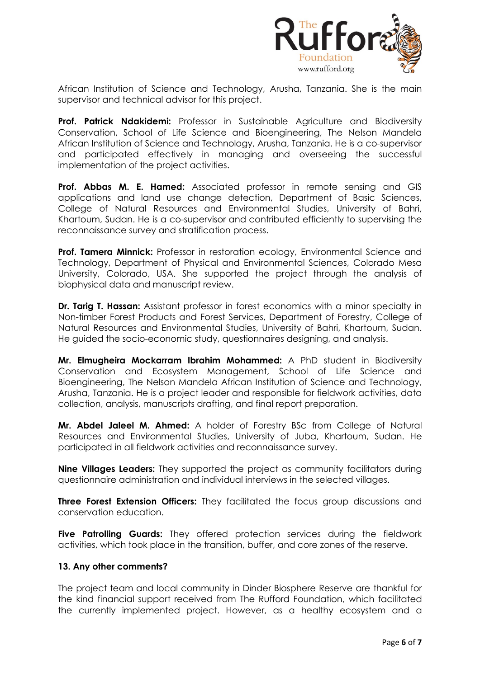

African Institution of Science and Technology, Arusha, Tanzania. She is the main supervisor and technical advisor for this project.

**Prof. Patrick Ndakidemi:** Professor in Sustainable Agriculture and Biodiversity Conservation, School of Life Science and Bioengineering, The Nelson Mandela African Institution of Science and Technology, Arusha, Tanzania. He is a co-supervisor and participated effectively in managing and overseeing the successful implementation of the project activities.

**Prof. Abbas M. E. Hamed:** Associated professor in remote sensing and GIS applications and land use change detection, Department of Basic Sciences, College of Natural Resources and Environmental Studies, University of Bahri, Khartoum, Sudan. He is a co-supervisor and contributed efficiently to supervising the reconnaissance survey and stratification process.

**Prof. Tamera Minnick:** Professor in restoration ecology, Environmental Science and Technology, Department of Physical and Environmental Sciences, Colorado Mesa University, Colorado, USA. She supported the project through the analysis of biophysical data and manuscript review.

**Dr. Tarig T. Hassan:** Assistant professor in forest economics with a minor specialty in Non-timber Forest Products and Forest Services, Department of Forestry, College of Natural Resources and Environmental Studies, University of Bahri, Khartoum, Sudan. He guided the socio-economic study, questionnaires designing, and analysis.

**Mr. Elmugheira Mockarram Ibrahim Mohammed:** A PhD student in Biodiversity Conservation and Ecosystem Management, School of Life Science and Bioengineering, The Nelson Mandela African Institution of Science and Technology, Arusha, Tanzania. He is a project leader and responsible for fieldwork activities, data collection, analysis, manuscripts drafting, and final report preparation.

**Mr. Abdel Jaleel M. Ahmed:** A holder of Forestry BSc from College of Natural Resources and Environmental Studies, University of Juba, Khartoum, Sudan. He participated in all fieldwork activities and reconnaissance survey.

**Nine Villages Leaders:** They supported the project as community facilitators during questionnaire administration and individual interviews in the selected villages.

**Three Forest Extension Officers:** They facilitated the focus group discussions and conservation education.

**Five Patrolling Guards:** They offered protection services during the fieldwork activities, which took place in the transition, buffer, and core zones of the reserve.

# **13. Any other comments?**

The project team and local community in Dinder Biosphere Reserve are thankful for the kind financial support received from The Rufford Foundation, which facilitated the currently implemented project. However, as a healthy ecosystem and a